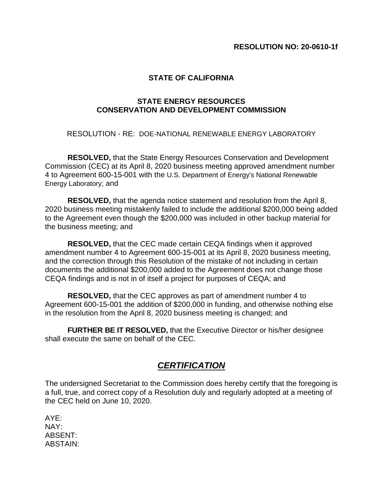## **STATE OF CALIFORNIA**

## **STATE ENERGY RESOURCES CONSERVATION AND DEVELOPMENT COMMISSION**

RESOLUTION - RE: DOE-NATIONAL RENEWABLE ENERGY LABORATORY

**RESOLVED,** that the State Energy Resources Conservation and Development Commission (CEC) at its April 8, 2020 business meeting approved amendment number 4 to Agreement 600-15-001 with the U.S. Department of Energy's National Renewable Energy Laboratory; and

**RESOLVED,** that the agenda notice statement and resolution from the April 8, 2020 business meeting mistakenly failed to include the additional \$200,000 being added to the Agreement even though the \$200,000 was included in other backup material for the business meeting; and

**RESOLVED,** that the CEC made certain CEQA findings when it approved amendment number 4 to Agreement 600-15-001 at its April 8, 2020 business meeting, and the correction through this Resolution of the mistake of not including in certain documents the additional \$200,000 added to the Agreement does not change those CEQA findings and is not in of itself a project for purposes of CEQA; and

**RESOLVED,** that the CEC approves as part of amendment number 4 to Agreement 600-15-001 the addition of \$200,000 in funding, and otherwise nothing else in the resolution from the April 8, 2020 business meeting is changed; and

**FURTHER BE IT RESOLVED,** that the Executive Director or his/her designee shall execute the same on behalf of the CEC.

## *CERTIFICATION*

The undersigned Secretariat to the Commission does hereby certify that the foregoing is a full, true, and correct copy of a Resolution duly and regularly adopted at a meeting of the CEC held on June 10, 2020.

AYE: NAY: ABSENT: ABSTAIN: